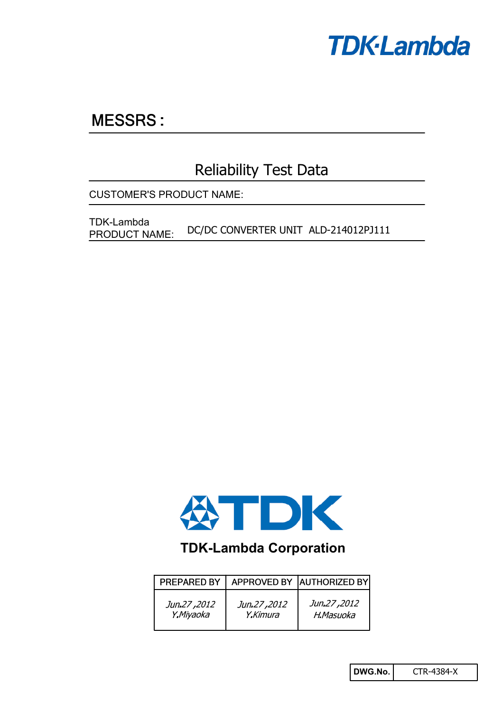

# **MESSRS:**

## Reliability Test Data

CUSTOMER'S PRODUCT NAME:

DC/DC CONVERTER UNIT ALD-214012PJ111 TDK-Lambda PRODUCT NAME:



## **TDK-Lambda Corporation**

| <b>PREPARED BY</b> |             | APPROVED BY AUTHORIZED BY |
|--------------------|-------------|---------------------------|
| Jun.27,2012        | Jun.27,2012 | Jun.27,2012               |
| Y.Miyaoka          | Y.Kimura    | H.Masuoka                 |

**DWG.No.** CTR-4384-X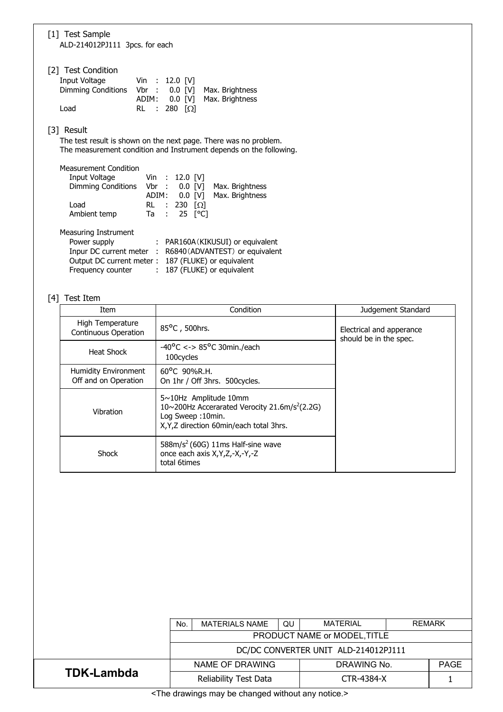| [1] Test Sample<br>ALD-214012PJ111 3pcs. for each                                                                                                                                                                                        |  |  |  |  |
|------------------------------------------------------------------------------------------------------------------------------------------------------------------------------------------------------------------------------------------|--|--|--|--|
| [2] Test Condition<br>Input Voltage<br>Vin : 12.0 [V]<br>Dimming Conditions Vbr : 0.0 [V]<br>Max. Brightness<br>ADIM: 0.0 [V]<br>Max. Brightness<br>280 $[\Omega]$<br>Load<br>$RL$ :                                                     |  |  |  |  |
| [3] Result<br>The test result is shown on the next page. There was no problem.<br>The measurement condition and Instrument depends on the following.                                                                                     |  |  |  |  |
| <b>Measurement Condition</b><br>Input Voltage Vin : 12.0 [V]<br>Dimming Conditions Vbr : 0.0 [V]<br>Max. Brightness<br>ADIM: 0.0 [V]<br>Max. Brightness<br>Load<br>RL :<br>230 $\lceil \Omega \rceil$<br>25 [°C]<br>Ambient temp<br>Ta : |  |  |  |  |
| Measuring Instrument<br>Power supply<br>: PAR160A (KIKUSUI) or equivalent<br>Inpur DC current meter :<br>R6840 (ADVANTEST) or equivalent<br>Output DC current meter:<br>187 (FLUKE) or equivalent                                        |  |  |  |  |

Frequency counter : 187 (FLUKE) or equivalent

## [4] Test Item

| Item                                                | Condition                                                                                                                                                     | Judgement Standard                                 |
|-----------------------------------------------------|---------------------------------------------------------------------------------------------------------------------------------------------------------------|----------------------------------------------------|
| High Temperature<br><b>Continuous Operation</b>     | 85°C, 500hrs.                                                                                                                                                 | Electrical and apperance<br>should be in the spec. |
| Heat Shock                                          | $-40^{\circ}$ C <-> 85°C 30min./each<br>100 cycles                                                                                                            |                                                    |
| <b>Humidity Environment</b><br>Off and on Operation | 60°C 90%R.H.<br>On 1hr / Off 3hrs. 500cycles.                                                                                                                 |                                                    |
| Vibration                                           | $5 \sim 10$ Hz Amplitude 10mm<br>10~200Hz Accerarated Verocity 21.6m/s <sup>2</sup> (2.2G)<br>Log Sweep: 10min.<br>X, Y, Z direction 60 min/each total 3 hrs. |                                                    |
| Shock                                               | $588m/s2$ (60G) 11ms Half-sine wave<br>once each axis X, Y, Z, -X, -Y, -Z<br>total 6times                                                                     |                                                    |

|                                                                         | <b>MATERIAL</b><br><b>REMARK</b><br><b>QU</b><br><b>MATERIALS NAME</b><br>No. |  |             |  |             |  |
|-------------------------------------------------------------------------|-------------------------------------------------------------------------------|--|-------------|--|-------------|--|
|                                                                         | PRODUCT NAME or MODEL, TITLE                                                  |  |             |  |             |  |
|                                                                         | DC/DC CONVERTER UNIT ALD-214012PJ111                                          |  |             |  |             |  |
|                                                                         | NAME OF DRAWING                                                               |  | DRAWING No. |  | <b>PAGE</b> |  |
| <b>TDK-Lambda</b>                                                       | Reliability Test Data                                                         |  | CTR-4384-X  |  |             |  |
| ta∓ban alugu dunia yang untuk kama kama yang untuk sebagai pengantang k |                                                                               |  |             |  |             |  |

<The drawings may be changed without any notice.>